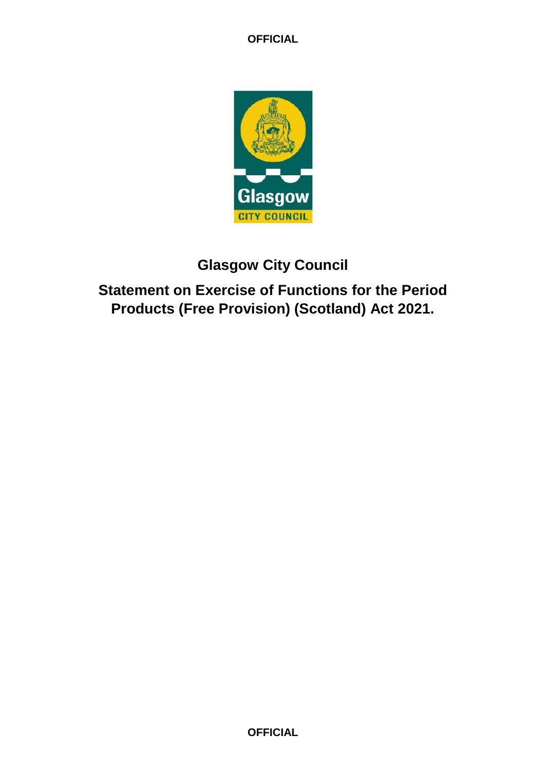

# **Glasgow City Council**

**Statement on Exercise of Functions for the Period Products (Free Provision) (Scotland) Act 2021.**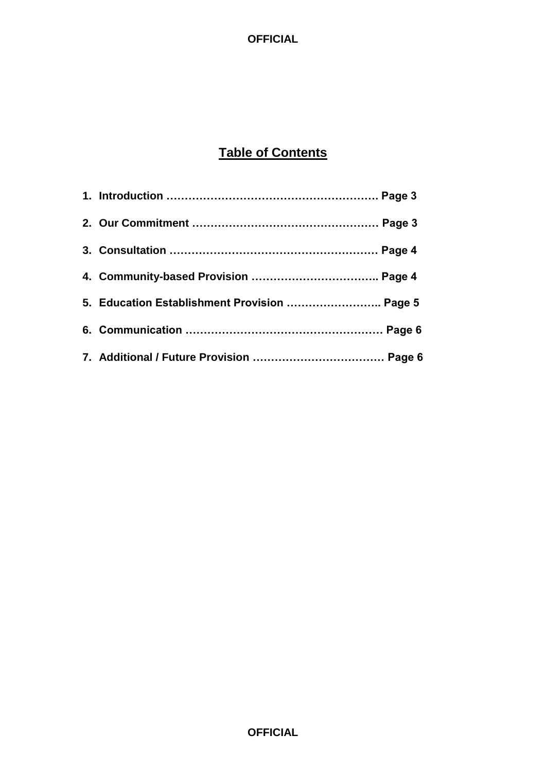## **Table of Contents**

| 5. Education Establishment Provision  Page 5 |  |
|----------------------------------------------|--|
|                                              |  |
|                                              |  |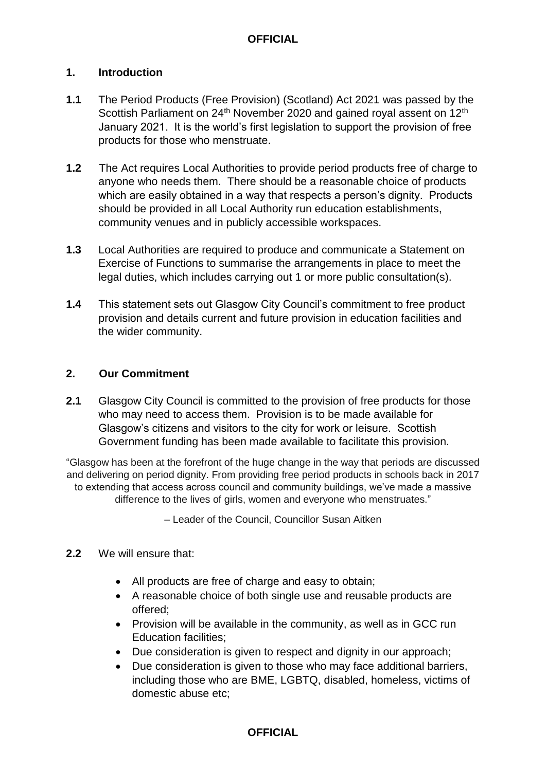## **1. Introduction**

- **1.1** The Period Products (Free Provision) (Scotland) Act 2021 was passed by the Scottish Parliament on 24<sup>th</sup> November 2020 and gained royal assent on 12<sup>th</sup> January 2021. It is the world's first legislation to support the provision of free products for those who menstruate.
- **1.2** The Act requires Local Authorities to provide period products free of charge to anyone who needs them. There should be a reasonable choice of products which are easily obtained in a way that respects a person's dignity. Products should be provided in all Local Authority run education establishments, community venues and in publicly accessible workspaces.
- **1.3** Local Authorities are required to produce and communicate a Statement on Exercise of Functions to summarise the arrangements in place to meet the legal duties, which includes carrying out 1 or more public consultation(s).
- **1.4** This statement sets out Glasgow City Council's commitment to free product provision and details current and future provision in education facilities and the wider community.

### **2. Our Commitment**

**2.1** Glasgow City Council is committed to the provision of free products for those who may need to access them. Provision is to be made available for Glasgow's citizens and visitors to the city for work or leisure. Scottish Government funding has been made available to facilitate this provision.

"Glasgow has been at the forefront of the huge change in the way that periods are discussed and delivering on period dignity. From providing free period products in schools back in 2017 to extending that access across council and community buildings, we've made a massive difference to the lives of girls, women and everyone who menstruates."

– Leader of the Council, Councillor Susan Aitken

#### **2.2** We will ensure that:

- All products are free of charge and easy to obtain;
- A reasonable choice of both single use and reusable products are offered;
- Provision will be available in the community, as well as in GCC run Education facilities;
- Due consideration is given to respect and dignity in our approach;
- Due consideration is given to those who may face additional barriers, including those who are BME, LGBTQ, disabled, homeless, victims of domestic abuse etc;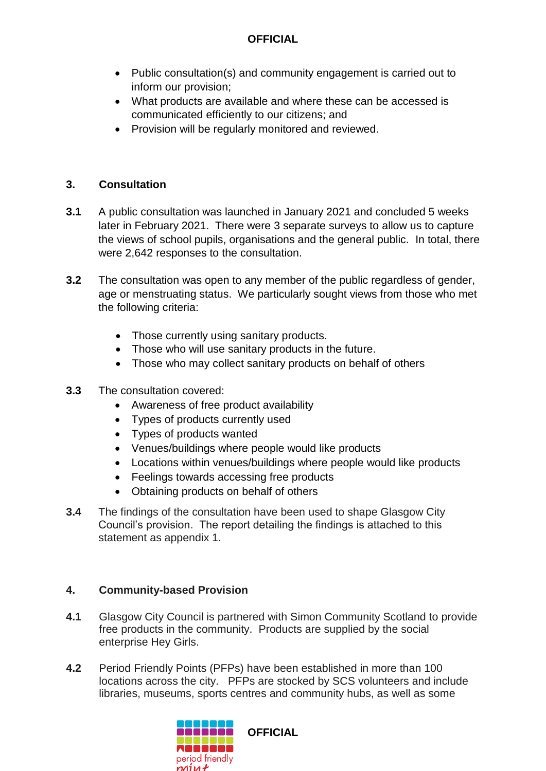- Public consultation(s) and community engagement is carried out to inform our provision;
- What products are available and where these can be accessed is communicated efficiently to our citizens; and
- Provision will be regularly monitored and reviewed.

## **3. Consultation**

- **3.1** A public consultation was launched in January 2021 and concluded 5 weeks later in February 2021. There were 3 separate surveys to allow us to capture the views of school pupils, organisations and the general public. In total, there were 2,642 responses to the consultation.
- **3.2** The consultation was open to any member of the public regardless of gender, age or menstruating status. We particularly sought views from those who met the following criteria:
	- Those currently using sanitary products.
	- Those who will use sanitary products in the future.
	- Those who may collect sanitary products on behalf of others
- **3.3** The consultation covered:
	- Awareness of free product availability
	- Types of products currently used
	- Types of products wanted
	- Venues/buildings where people would like products
	- Locations within venues/buildings where people would like products
	- Feelings towards accessing free products
	- Obtaining products on behalf of others
- **3.4** The findings of the consultation have been used to shape Glasgow City Council's provision. The report detailing the findings is attached to this statement as appendix 1.

## **4. Community-based Provision**

- **4.1** Glasgow City Council is partnered with Simon Community Scotland to provide free products in the community. Products are supplied by the social enterprise Hey Girls.
- **4.2** Period Friendly Points (PFPs) have been established in more than 100 locations across the city. PFPs are stocked by SCS volunteers and include libraries, museums, sports centres and community hubs, as well as some

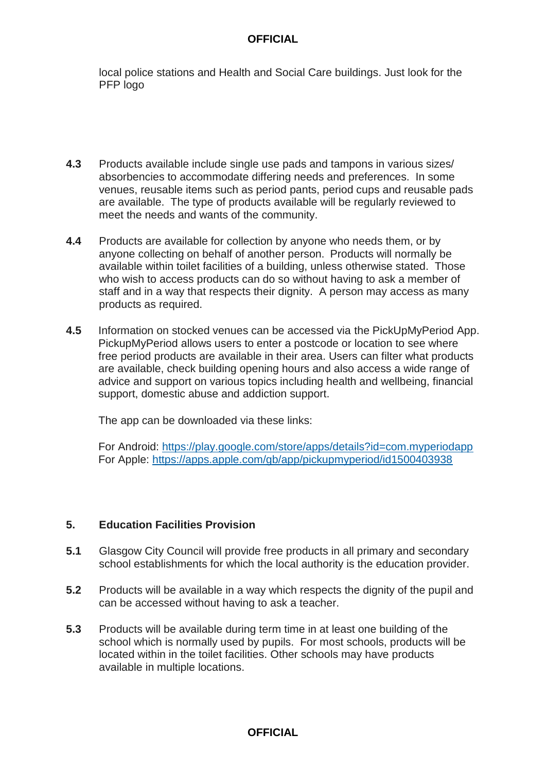local police stations and Health and Social Care buildings. Just look for the PFP logo

- **4.3** Products available include single use pads and tampons in various sizes/ absorbencies to accommodate differing needs and preferences. In some venues, reusable items such as period pants, period cups and reusable pads are available. The type of products available will be regularly reviewed to meet the needs and wants of the community.
- **4.4** Products are available for collection by anyone who needs them, or by anyone collecting on behalf of another person. Products will normally be available within toilet facilities of a building, unless otherwise stated. Those who wish to access products can do so without having to ask a member of staff and in a way that respects their dignity. A person may access as many products as required.
- **4.5** Information on stocked venues can be accessed via the PickUpMyPeriod App. PickupMyPeriod allows users to enter a postcode or location to see where free period products are available in their area. Users can filter what products are available, check building opening hours and also access a wide range of advice and support on various topics including health and wellbeing, financial support, domestic abuse and addiction support.

The app can be downloaded via these links:

For Android: <https://play.google.com/store/apps/details?id=com.myperiodapp> For Apple: <https://apps.apple.com/gb/app/pickupmyperiod/id1500403938>

## **5. Education Facilities Provision**

- **5.1** Glasgow City Council will provide free products in all primary and secondary school establishments for which the local authority is the education provider.
- **5.2** Products will be available in a way which respects the dignity of the pupil and can be accessed without having to ask a teacher.
- **5.3** Products will be available during term time in at least one building of the school which is normally used by pupils. For most schools, products will be located within in the toilet facilities. Other schools may have products available in multiple locations.